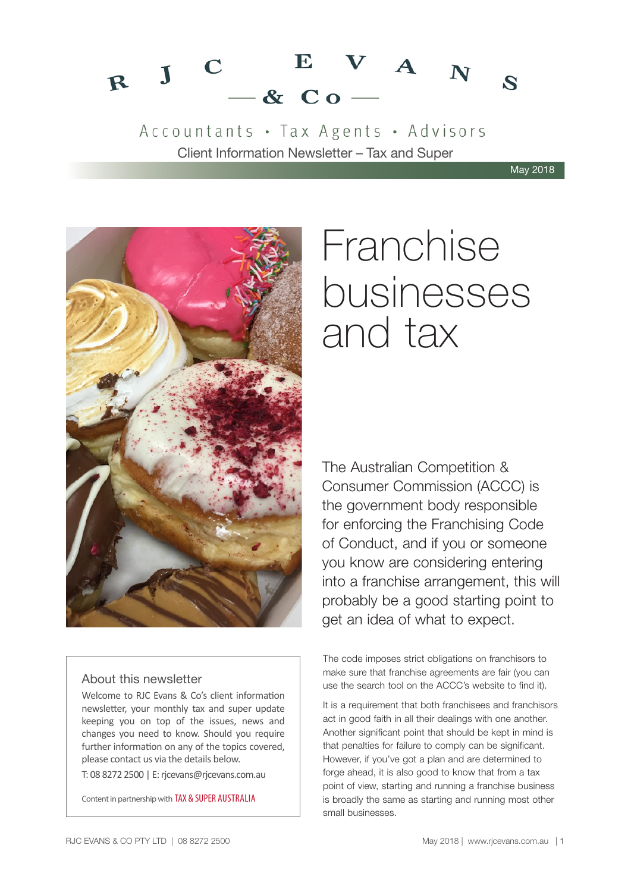#### $V A_N$ E  $\mathbf C$  $R$  J  $\mathbf{z}$  $-$  & Co

Accountants · Tax Agents · Advisors Client Information Newsletter – Tax and Super

May 2018



#### About this newsletter

Welcome to RJC Evans & Co's client information newsletter, your monthly tax and super update keeping you on top of the issues, news and changes you need to know. Should you require further information on any of the topics covered, please contact us via the details below.

T: 08 8272 2500 | E: rjcevans@rjcevans.com.au

Content in partnership with TAX & SUPER AUSTRALIA

# Franchise businesses and tax

The Australian Competition & Consumer Commission (ACCC) is the government body responsible for enforcing the Franchising Code of Conduct, and if you or someone you know are considering entering into a franchise arrangement, this will probably be a good starting point to get an idea of what to expect.

The code imposes strict obligations on franchisors to make sure that franchise agreements are fair (you can use the search tool on the ACCC's website to find it).

It is a requirement that both franchisees and franchisors act in good faith in all their dealings with one another. Another significant point that should be kept in mind is that penalties for failure to comply can be significant. However, if you've got a plan and are determined to forge ahead, it is also good to know that from a tax point of view, starting and running a franchise business is broadly the same as starting and running most other small businesses.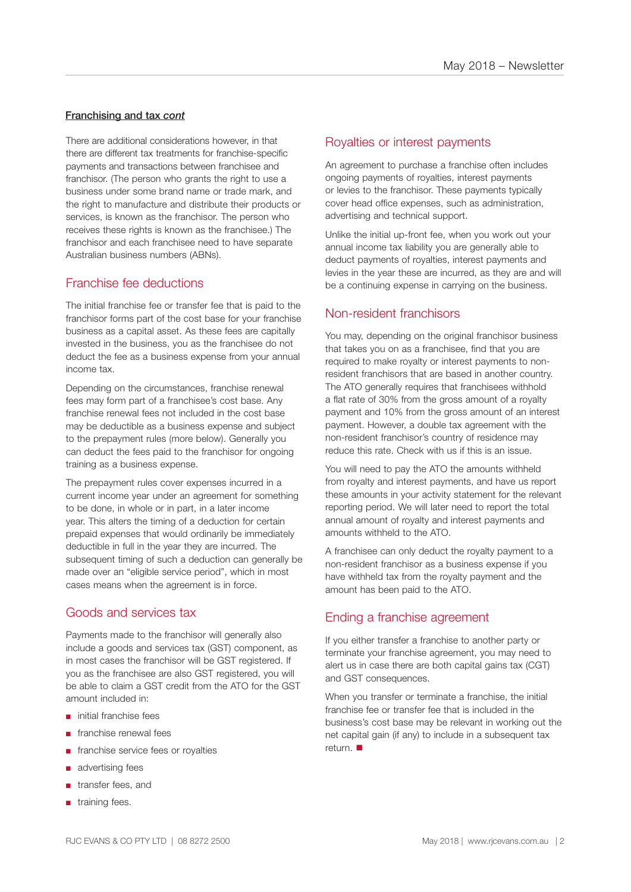#### Franchising and tax *cont*

There are additional considerations however, in that there are different tax treatments for franchise-specific payments and transactions between franchisee and franchisor. (The person who grants the right to use a business under some brand name or trade mark, and the right to manufacture and distribute their products or services, is known as the franchisor. The person who receives these rights is known as the franchisee.) The franchisor and each franchisee need to have separate Australian business numbers (ABNs).

#### Franchise fee deductions

The initial franchise fee or transfer fee that is paid to the franchisor forms part of the cost base for your franchise business as a capital asset. As these fees are capitally invested in the business, you as the franchisee do not deduct the fee as a business expense from your annual income tax.

Depending on the circumstances, franchise renewal fees may form part of a franchisee's cost base. Any franchise renewal fees not included in the cost base may be deductible as a business expense and subject to the prepayment rules (more below). Generally you can deduct the fees paid to the franchisor for ongoing training as a business expense.

The prepayment rules cover expenses incurred in a current income year under an agreement for something to be done, in whole or in part, in a later income year. This alters the timing of a deduction for certain prepaid expenses that would ordinarily be immediately deductible in full in the year they are incurred. The subsequent timing of such a deduction can generally be made over an "eligible service period", which in most cases means when the agreement is in force.

#### Goods and services tax

Payments made to the franchisor will generally also include a goods and services tax (GST) component, as in most cases the franchisor will be GST registered. If you as the franchisee are also GST registered, you will be able to claim a GST credit from the ATO for the GST amount included in:

- initial franchise fees
- franchise renewal fees
- franchise service fees or royalties
- advertising fees
- transfer fees, and
- training fees.

#### Royalties or interest payments

An agreement to purchase a franchise often includes ongoing payments of royalties, interest payments or levies to the franchisor. These payments typically cover head office expenses, such as administration, advertising and technical support.

Unlike the initial up-front fee, when you work out your annual income tax liability you are generally able to deduct payments of royalties, interest payments and levies in the year these are incurred, as they are and will be a continuing expense in carrying on the business.

#### Non-resident franchisors

You may, depending on the original franchisor business that takes you on as a franchisee, find that you are required to make royalty or interest payments to nonresident franchisors that are based in another country. The ATO generally requires that franchisees withhold a flat rate of 30% from the gross amount of a royalty payment and 10% from the gross amount of an interest payment. However, a double tax agreement with the non-resident franchisor's country of residence may reduce this rate. Check with us if this is an issue.

You will need to pay the ATO the amounts withheld from royalty and interest payments, and have us report these amounts in your activity statement for the relevant reporting period. We will later need to report the total annual amount of royalty and interest payments and amounts withheld to the ATO.

A franchisee can only deduct the royalty payment to a non-resident franchisor as a business expense if you have withheld tax from the royalty payment and the amount has been paid to the ATO.

#### Ending a franchise agreement

If you either transfer a franchise to another party or terminate your franchise agreement, you may need to alert us in case there are both capital gains tax (CGT) and GST consequences.

When you transfer or terminate a franchise, the initial franchise fee or transfer fee that is included in the business's cost base may be relevant in working out the net capital gain (if any) to include in a subsequent tax return.  $\blacksquare$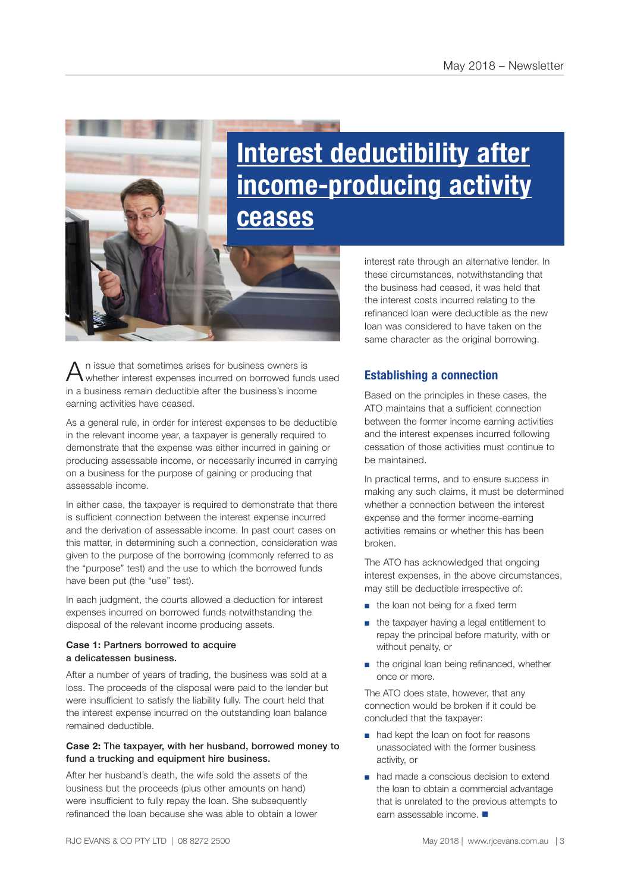# **Interest deductibility after income-producing activity ceases**

 $A$ <sup>n</sup> issue that sometimes arises for business owners is whether interest expenses incurred on borrowed funds used in a business remain deductible after the business's income earning activities have ceased.

As a general rule, in order for interest expenses to be deductible in the relevant income year, a taxpayer is generally required to demonstrate that the expense was either incurred in gaining or producing assessable income, or necessarily incurred in carrying on a business for the purpose of gaining or producing that assessable income.

In either case, the taxpayer is required to demonstrate that there is sufficient connection between the interest expense incurred and the derivation of assessable income. In past court cases on this matter, in determining such a connection, consideration was given to the purpose of the borrowing (commonly referred to as the "purpose" test) and the use to which the borrowed funds have been put (the "use" test).

In each judgment, the courts allowed a deduction for interest expenses incurred on borrowed funds notwithstanding the disposal of the relevant income producing assets.

#### **Case 1:** Partners borrowed to acquire a delicatessen business.

After a number of years of trading, the business was sold at a loss. The proceeds of the disposal were paid to the lender but were insufficient to satisfy the liability fully. The court held that the interest expense incurred on the outstanding loan balance remained deductible.

#### **Case 2:** The taxpayer, with her husband, borrowed money to fund a trucking and equipment hire business.

After her husband's death, the wife sold the assets of the business but the proceeds (plus other amounts on hand) were insufficient to fully repay the loan. She subsequently refinanced the loan because she was able to obtain a lower interest rate through an alternative lender. In these circumstances, notwithstanding that the business had ceased, it was held that the interest costs incurred relating to the refinanced loan were deductible as the new loan was considered to have taken on the same character as the original borrowing.

#### **Establishing a connection**

Based on the principles in these cases, the ATO maintains that a sufficient connection between the former income earning activities and the interest expenses incurred following cessation of those activities must continue to be maintained.

In practical terms, and to ensure success in making any such claims, it must be determined whether a connection between the interest expense and the former income-earning activities remains or whether this has been broken.

The ATO has acknowledged that ongoing interest expenses, in the above circumstances, may still be deductible irrespective of:

- the loan not being for a fixed term
- the taxpayer having a legal entitlement to repay the principal before maturity, with or without penalty, or
- the original loan being refinanced, whether once or more.

The ATO does state, however, that any connection would be broken if it could be concluded that the taxpayer:

- had kept the loan on foot for reasons unassociated with the former business activity, or
- had made a conscious decision to extend the loan to obtain a commercial advantage that is unrelated to the previous attempts to earn assessable income.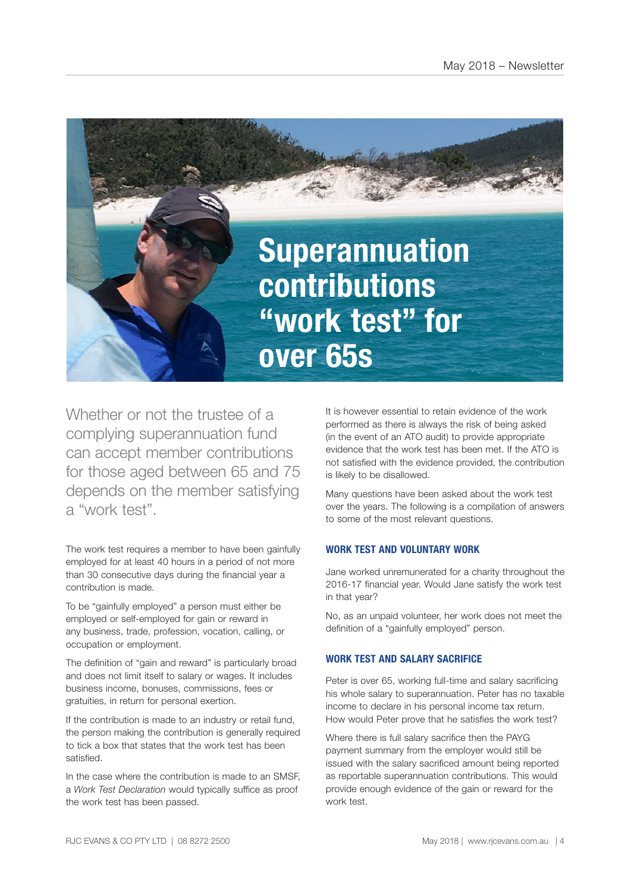

Whether or not the trustee of a complying superannuation fund can accept member contributions for those aged between 65 and 75 depends on the member satisfying a "work test".

The work test requires a member to have been gainfully employed for at least 40 hours in a period of not more than 30 consecutive days during the financial year a contribution is made.

To be "gainfully employed" a person must either be employed or self-employed for gain or reward in any business, trade, profession, vocation, calling, or occupation or employment.

The definition of "gain and reward" is particularly broad and does not limit itself to salary or wages. It includes business income, bonuses, commissions, fees or gratuities, in return for personal exertion.

If the contribution is made to an industry or retail fund, the person making the contribution is generally required to tick a box that states that the work test has been satisfied.

In the case where the contribution is made to an SMSF, a *Work Test Declaration* would typically suffice as proof the work test has been passed.

It is however essential to retain evidence of the work performed as there is always the risk of being asked (in the event of an ATO audit) to provide appropriate evidence that the work test has been met. If the ATO is not satisfied with the evidence provided, the contribution is likely to be disallowed.

Many questions have been asked about the work test over the years. The following is a compilation of answers to some of the most relevant questions.

#### **WORK TEST AND VOLUNTARY WORK**

Jane worked unremunerated for a charity throughout the 2016-17 financial year. Would Jane satisfy the work test in that year?

No, as an unpaid volunteer, her work does not meet the definition of a "gainfully employed" person.

#### **WORK TEST AND SALARY SACRIFICE**

Peter is over 65, working full-time and salary sacrificing his whole salary to superannuation. Peter has no taxable income to declare in his personal income tax return. How would Peter prove that he satisfies the work test?

Where there is full salary sacrifice then the PAYG payment summary from the employer would still be issued with the salary sacrificed amount being reported as reportable superannuation contributions. This would provide enough evidence of the gain or reward for the work test.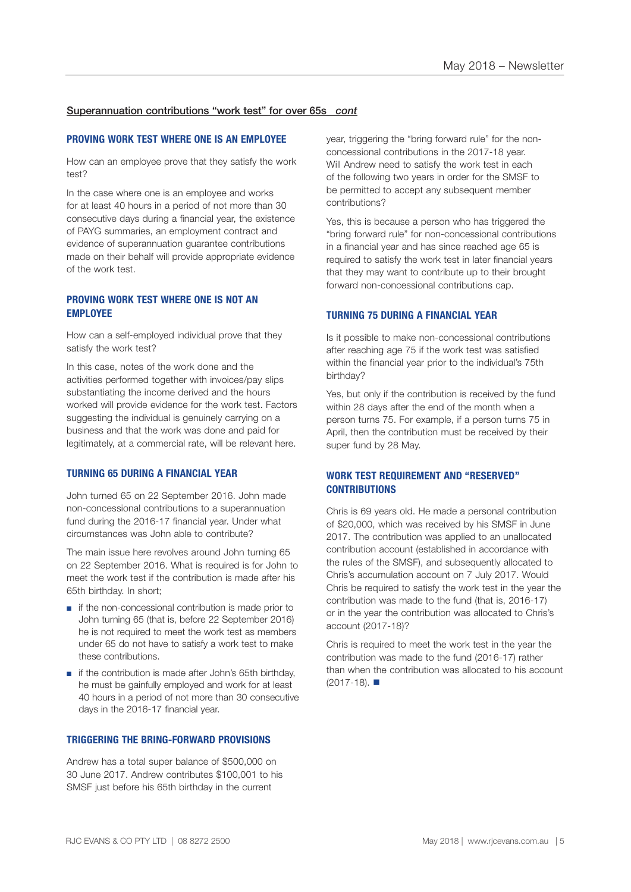#### Superannuation contributions "work test" for over 65s *cont*

#### **PROVING WORK TEST WHERE ONE IS AN EMPLOYEE**

How can an employee prove that they satisfy the work test?

In the case where one is an employee and works for at least 40 hours in a period of not more than 30 consecutive days during a financial year, the existence of PAYG summaries, an employment contract and evidence of superannuation guarantee contributions made on their behalf will provide appropriate evidence of the work test.

#### **PROVING WORK TEST WHERE ONE IS NOT AN EMPLOYEE**

How can a self-employed individual prove that they satisfy the work test?

In this case, notes of the work done and the activities performed together with invoices/pay slips substantiating the income derived and the hours worked will provide evidence for the work test. Factors suggesting the individual is genuinely carrying on a business and that the work was done and paid for legitimately, at a commercial rate, will be relevant here.

#### **TURNING 65 DURING A FINANCIAL YEAR**

John turned 65 on 22 September 2016. John made non-concessional contributions to a superannuation fund during the 2016-17 financial year. Under what circumstances was John able to contribute?

The main issue here revolves around John turning 65 on 22 September 2016. What is required is for John to meet the work test if the contribution is made after his 65th birthday. In short;

- if the non-concessional contribution is made prior to John turning 65 (that is, before 22 September 2016) he is not required to meet the work test as members under 65 do not have to satisfy a work test to make these contributions.
- if the contribution is made after John's 65th birthday. he must be gainfully employed and work for at least 40 hours in a period of not more than 30 consecutive days in the 2016-17 financial year.

#### **TRIGGERING THE BRING-FORWARD PROVISIONS**

Andrew has a total super balance of \$500,000 on 30 June 2017. Andrew contributes \$100,001 to his SMSF just before his 65th birthday in the current

year, triggering the "bring forward rule" for the nonconcessional contributions in the 2017-18 year. Will Andrew need to satisfy the work test in each of the following two years in order for the SMSF to be permitted to accept any subsequent member contributions?

Yes, this is because a person who has triggered the "bring forward rule" for non-concessional contributions in a financial year and has since reached age 65 is required to satisfy the work test in later financial years that they may want to contribute up to their brought forward non-concessional contributions cap.

#### **TURNING 75 DURING A FINANCIAL YEAR**

Is it possible to make non-concessional contributions after reaching age 75 if the work test was satisfied within the financial year prior to the individual's 75th birthday?

Yes, but only if the contribution is received by the fund within 28 days after the end of the month when a person turns 75. For example, if a person turns 75 in April, then the contribution must be received by their super fund by 28 May.

#### **WORK TEST REQUIREMENT AND "RESERVED" CONTRIBUTIONS**

Chris is 69 years old. He made a personal contribution of \$20,000, which was received by his SMSF in June 2017. The contribution was applied to an unallocated contribution account (established in accordance with the rules of the SMSF), and subsequently allocated to Chris's accumulation account on 7 July 2017. Would Chris be required to satisfy the work test in the year the contribution was made to the fund (that is, 2016-17) or in the year the contribution was allocated to Chris's account (2017-18)?

Chris is required to meet the work test in the year the contribution was made to the fund (2016-17) rather than when the contribution was allocated to his account  $(2017-18)$ .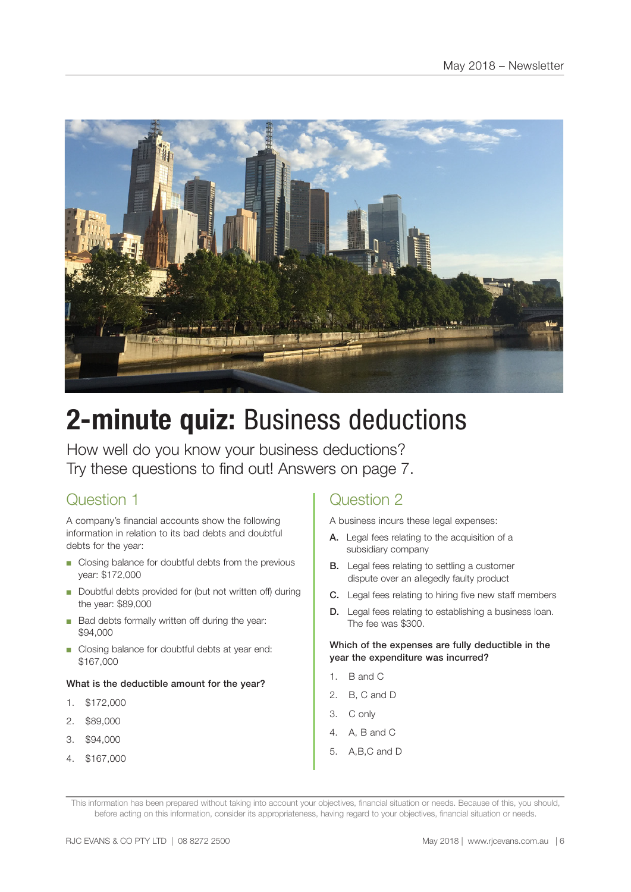

# **2-minute quiz:** Business deductions

How well do you know your business deductions? Try these questions to find out! Answers on page 7.

# Question 1

A company's financial accounts show the following information in relation to its bad debts and doubtful debts for the year:

- Closing balance for doubtful debts from the previous year: \$172,000
- Doubtful debts provided for (but not written off) during the year: \$89,000
- Bad debts formally written off during the year: \$94,000
- Closing balance for doubtful debts at year end: \$167,000

#### What is the deductible amount for the year?

- 1. \$172,000
- 2. \$89,000
- 3. \$94,000
- 4. \$167,000

## Question 2

A business incurs these legal expenses:

- A. Legal fees relating to the acquisition of a subsidiary company
- **B.** Legal fees relating to settling a customer dispute over an allegedly faulty product
- C. Legal fees relating to hiring five new staff members
- D. Legal fees relating to establishing a business loan. The fee was \$300.

#### Which of the expenses are fully deductible in the year the expenditure was incurred?

- 1. B and C
- 2. B, C and D
- 3. C only
- 4. A, B and C
- 5. A,B,C and D

This information has been prepared without taking into account your objectives, financial situation or needs. Because of this, you should, before acting on this information, consider its appropriateness, having regard to your objectives, financial situation or needs.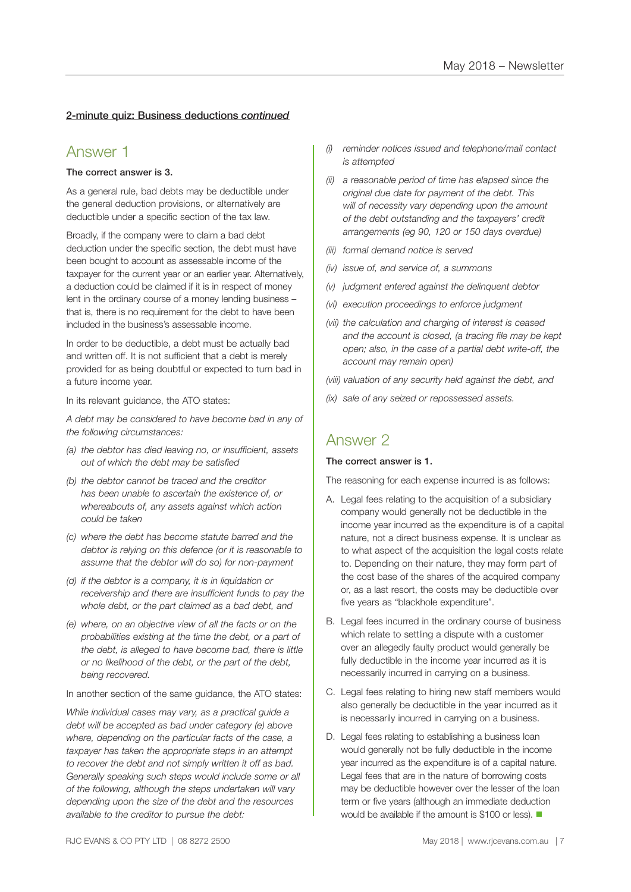#### 2-minute quiz: Business deductions *continued*

### Answer 1

#### The correct answer is 3.

As a general rule, bad debts may be deductible under the general deduction provisions, or alternatively are deductible under a specific section of the tax law.

Broadly, if the company were to claim a bad debt deduction under the specific section, the debt must have been bought to account as assessable income of the taxpayer for the current year or an earlier year. Alternatively, a deduction could be claimed if it is in respect of money lent in the ordinary course of a money lending business – that is, there is no requirement for the debt to have been included in the business's assessable income.

In order to be deductible, a debt must be actually bad and written off. It is not sufficient that a debt is merely provided for as being doubtful or expected to turn bad in a future income year.

In its relevant guidance, the ATO states:

*A debt may be considered to have become bad in any of the following circumstances:*

- *(a) the debtor has died leaving no, or insufficient, assets out of which the debt may be satisfied*
- *(b) the debtor cannot be traced and the creditor has been unable to ascertain the existence of, or whereabouts of, any assets against which action could be taken*
- *(c) where the debt has become statute barred and the debtor is relying on this defence (or it is reasonable to assume that the debtor will do so) for non-payment*
- *(d) if the debtor is a company, it is in liquidation or receivership and there are insufficient funds to pay the whole debt, or the part claimed as a bad debt, and*
- *(e) where, on an objective view of all the facts or on the probabilities existing at the time the debt, or a part of the debt, is alleged to have become bad, there is little or no likelihood of the debt, or the part of the debt, being recovered.*

In another section of the same guidance, the ATO states:

*While individual cases may vary, as a practical guide a debt will be accepted as bad under category (e) above where, depending on the particular facts of the case, a taxpayer has taken the appropriate steps in an attempt to recover the debt and not simply written it off as bad. Generally speaking such steps would include some or all of the following, although the steps undertaken will vary depending upon the size of the debt and the resources available to the creditor to pursue the debt:*

- *(i) reminder notices issued and telephone/mail contact is attempted*
- *(ii) a reasonable period of time has elapsed since the original due date for payment of the debt. This will of necessity vary depending upon the amount of the debt outstanding and the taxpayers' credit arrangements (eg 90, 120 or 150 days overdue)*
- *(iii) formal demand notice is served*
- *(iv) issue of, and service of, a summons*
- *(v) judgment entered against the delinquent debtor*
- *(vi) execution proceedings to enforce judgment*
- *(vii) the calculation and charging of interest is ceased and the account is closed, (a tracing file may be kept open; also, in the case of a partial debt write-off, the account may remain open)*

*(viii) valuation of any security held against the debt, and*

*(ix) sale of any seized or repossessed assets.*

### Answer 2

#### The correct answer is 1.

The reasoning for each expense incurred is as follows:

- A. Legal fees relating to the acquisition of a subsidiary company would generally not be deductible in the income year incurred as the expenditure is of a capital nature, not a direct business expense. It is unclear as to what aspect of the acquisition the legal costs relate to. Depending on their nature, they may form part of the cost base of the shares of the acquired company or, as a last resort, the costs may be deductible over five years as "blackhole expenditure".
- B. Legal fees incurred in the ordinary course of business which relate to settling a dispute with a customer over an allegedly faulty product would generally be fully deductible in the income year incurred as it is necessarily incurred in carrying on a business.
- C. Legal fees relating to hiring new staff members would also generally be deductible in the year incurred as it is necessarily incurred in carrying on a business.
- D. Legal fees relating to establishing a business loan would generally not be fully deductible in the income year incurred as the expenditure is of a capital nature. Legal fees that are in the nature of borrowing costs may be deductible however over the lesser of the loan term or five years (although an immediate deduction would be available if the amount is \$100 or less).  $\blacksquare$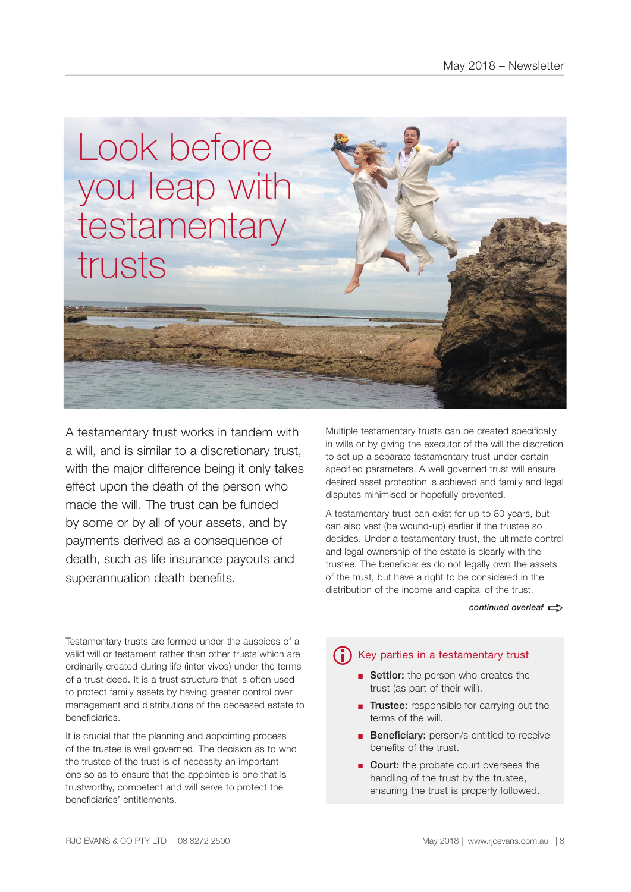

A testamentary trust works in tandem with a will, and is similar to a discretionary trust, with the major difference being it only takes effect upon the death of the person who made the will. The trust can be funded by some or by all of your assets, and by payments derived as a consequence of death, such as life insurance payouts and superannuation death benefits.

Multiple testamentary trusts can be created specifically in wills or by giving the executor of the will the discretion to set up a separate testamentary trust under certain specified parameters. A well governed trust will ensure desired asset protection is achieved and family and legal disputes minimised or hopefully prevented.

A testamentary trust can exist for up to 80 years, but can also vest (be wound-up) earlier if the trustee so decides. Under a testamentary trust, the ultimate control and legal ownership of the estate is clearly with the trustee. The beneficiaries do not legally own the assets of the trust, but have a right to be considered in the distribution of the income and capital of the trust.

#### *continued overleaf*  $\Rightarrow$

Testamentary trusts are formed under the auspices of a valid will or testament rather than other trusts which are ordinarily created during life (inter vivos) under the terms of a trust deed. It is a trust structure that is often used to protect family assets by having greater control over management and distributions of the deceased estate to beneficiaries.

It is crucial that the planning and appointing process of the trustee is well governed. The decision as to who the trustee of the trust is of necessity an important one so as to ensure that the appointee is one that is trustworthy, competent and will serve to protect the beneficiaries' entitlements.

# **i** Key parties in a testamentary trust

- Settlor: the person who creates the trust (as part of their will).
- Trustee: responsible for carrying out the terms of the will.
- Beneficiary: person/s entitled to receive benefits of the trust.
- Court: the probate court oversees the handling of the trust by the trustee, ensuring the trust is properly followed.